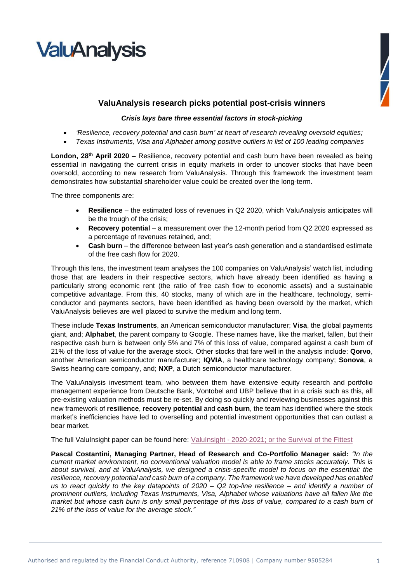



## **ValuAnalysis research picks potential post-crisis winners**

## *Crisis lays bare three essential factors in stock-picking*

- *'Resilience, recovery potential and cash burn' at heart of research revealing oversold equities;*
- *Texas Instruments, Visa and Alphabet among positive outliers in list of 100 leading companies*

London, 28<sup>th</sup> April 2020 – Resilience, recovery potential and cash burn have been revealed as being essential in navigating the current crisis in equity markets in order to uncover stocks that have been oversold, according to new research from ValuAnalysis. Through this framework the investment team demonstrates how substantial shareholder value could be created over the long-term.

The three components are:

- **Resilience** the estimated loss of revenues in Q2 2020, which ValuAnalysis anticipates will be the trough of the crisis;
- **Recovery potential** a measurement over the 12-month period from Q2 2020 expressed as a percentage of revenues retained, and;
- **Cash burn** the difference between last year's cash generation and a standardised estimate of the free cash flow for 2020.

Through this lens, the investment team analyses the 100 companies on ValuAnalysis' watch list, including those that are leaders in their respective sectors, which have already been identified as having a particularly strong economic rent (the ratio of free cash flow to economic assets) and a sustainable competitive advantage. From this, 40 stocks, many of which are in the healthcare, technology, semiconductor and payments sectors, have been identified as having been oversold by the market, which ValuAnalysis believes are well placed to survive the medium and long term.

These include **Texas Instruments**, an American semiconductor manufacturer; **Visa**, the global payments giant, and; **Alphabet**, the parent company to Google. These names have, like the market, fallen, but their respective cash burn is between only 5% and 7% of this loss of value, compared against a cash burn of 21% of the loss of value for the average stock. Other stocks that fare well in the analysis include: **Qorvo**, another American semiconductor manufacturer; **IQVIA**, a healthcare technology company; **Sonova**, a Swiss hearing care company, and; **NXP**, a Dutch semiconductor manufacturer.

The ValuAnalysis investment team, who between them have extensive equity research and portfolio management experience from Deutsche Bank, Vontobel and UBP believe that in a crisis such as this, all pre-existing valuation methods must be re-set. By doing so quickly and reviewing businesses against this new framework of **resilience**, **recovery potential** and **cash burn**, the team has identified where the stock market's inefficiencies have led to overselling and potential investment opportunities that can outlast a bear market.

The full ValuInsight paper can be found here: ValuInsight - [2020-2021; or the Survival of the Fittest](https://www.valuanalysis.com/assets/Uploads/PDF-documents/ValuInsight-2020-2021-or-the-Survival-of-the-Fittest.pdf)

**Pascal Costantini, Managing Partner, Head of Research and Co-Portfolio Manager said:** *"In the current market environment, no conventional valuation model is able to frame stocks accurately. This is about survival, and at ValuAnalysis, we designed a crisis-specific model to focus on the essential: the resilience, recovery potential and cash burn of a company. The framework we have developed has enabled us to react quickly to the key datapoints of 2020 – Q2 top-line resilience – and identify a number of prominent outliers, including Texas Instruments, Visa, Alphabet whose valuations have all fallen like the market but whose cash burn is only small percentage of this loss of value, compared to a cash burn of 21% of the loss of value for the average stock."*